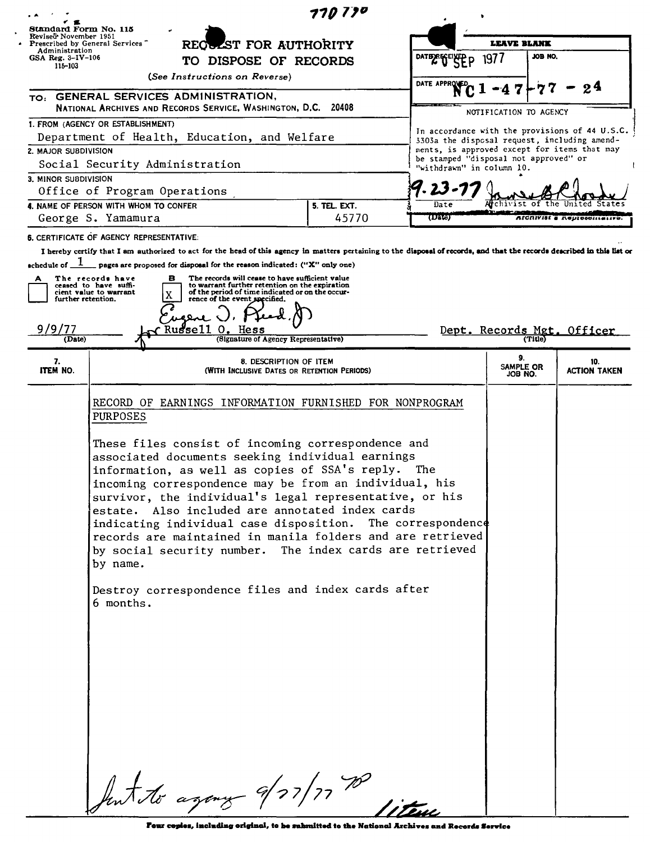| 770770                                                                                                                                                                    |                                                                                                                                                                                                                                                                                                                                                                                                                                   |                  |                            |                                                |                            |                                      |  |
|---------------------------------------------------------------------------------------------------------------------------------------------------------------------------|-----------------------------------------------------------------------------------------------------------------------------------------------------------------------------------------------------------------------------------------------------------------------------------------------------------------------------------------------------------------------------------------------------------------------------------|------------------|----------------------------|------------------------------------------------|----------------------------|--------------------------------------|--|
|                                                                                                                                                                           | Standard Form No. 115<br>Reviseä November 1951<br>REQUEST FOR AUTHORITY<br>Prescribed by General Services<br>Administration                                                                                                                                                                                                                                                                                                       |                  |                            |                                                |                            |                                      |  |
|                                                                                                                                                                           |                                                                                                                                                                                                                                                                                                                                                                                                                                   |                  |                            | <b>LEAVE BLANK</b><br>JOB NO.                  |                            |                                      |  |
| GSA Reg. $3-\text{IV}-106$<br>TO DISPOSE OF RECORDS<br>115-103<br>(See Instructions on Reverse)                                                                           |                                                                                                                                                                                                                                                                                                                                                                                                                                   | DATER FEILED D   | 197/                       |                                                |                            |                                      |  |
|                                                                                                                                                                           |                                                                                                                                                                                                                                                                                                                                                                                                                                   | <b>DATE APPR</b> |                            |                                                |                            |                                      |  |
| TO: GENERAL SERVICES ADMINISTRATION,<br>NATIONAL ARCHIVES AND RECORDS SERVICE, WASHINGTON, D.C. 20408                                                                     |                                                                                                                                                                                                                                                                                                                                                                                                                                   |                  |                            | NOTIFICATION TO AGENCY                         |                            |                                      |  |
| 1. FROM (AGENCY OR ESTABLISHMENT)                                                                                                                                         |                                                                                                                                                                                                                                                                                                                                                                                                                                   |                  |                            | In accordance with the provisions of 44 U.S.C. |                            |                                      |  |
| Department of Health, Education, and Welfare                                                                                                                              |                                                                                                                                                                                                                                                                                                                                                                                                                                   |                  |                            | 3303a the disposal request, including amend-   |                            |                                      |  |
| 2. MAJOR SUBDIVISION                                                                                                                                                      | be stamped "disposal not approved" or                                                                                                                                                                                                                                                                                                                                                                                             |                  |                            | ments, is approved except for items that may   |                            |                                      |  |
| Social Security Administration                                                                                                                                            | "withdrawn" in column 10.                                                                                                                                                                                                                                                                                                                                                                                                         |                  |                            |                                                |                            |                                      |  |
| 3. MINOR SUBDIVISION<br>Office of Program Operations                                                                                                                      |                                                                                                                                                                                                                                                                                                                                                                                                                                   |                  |                            |                                                |                            |                                      |  |
| 4. NAME OF PERSON WITH WHOM TO CONFER<br>5. TEL. EXT.                                                                                                                     |                                                                                                                                                                                                                                                                                                                                                                                                                                   |                  | Date                       |                                                |                            |                                      |  |
| George S. Yamamura                                                                                                                                                        |                                                                                                                                                                                                                                                                                                                                                                                                                                   | 45770            | (Data)                     |                                                |                            | <b>AICHIVISI &amp; Representativ</b> |  |
| 6. CERTIFICATE OF AGENCY REPRESENTATIVE:                                                                                                                                  |                                                                                                                                                                                                                                                                                                                                                                                                                                   |                  |                            |                                                |                            |                                      |  |
| I hereby certify that I am authorized to act for the head of this agency in matters pertaining to the disposal of records, and that the records described in this list or |                                                                                                                                                                                                                                                                                                                                                                                                                                   |                  |                            |                                                |                            |                                      |  |
| achedule of $\frac{1}{\sqrt{2}}$ pages are proposed for disposal for the reason indicated: ("X" only one)                                                                 |                                                                                                                                                                                                                                                                                                                                                                                                                                   |                  |                            |                                                |                            |                                      |  |
| The records will cease to have sufficient value<br>в<br>The records have                                                                                                  |                                                                                                                                                                                                                                                                                                                                                                                                                                   |                  |                            |                                                |                            |                                      |  |
| to warrant further retention on the expiration<br>ceased to have suffi-<br>of the period of time indicated or on the occur-<br>cient value to warrant                     |                                                                                                                                                                                                                                                                                                                                                                                                                                   |                  |                            |                                                |                            |                                      |  |
| х<br>further retention.<br>rence of the event specified.                                                                                                                  |                                                                                                                                                                                                                                                                                                                                                                                                                                   |                  |                            |                                                |                            |                                      |  |
|                                                                                                                                                                           |                                                                                                                                                                                                                                                                                                                                                                                                                                   |                  |                            |                                                |                            |                                      |  |
| 9/9/77<br>Russell O. Hess<br>Dept. Records Mgt.                                                                                                                           |                                                                                                                                                                                                                                                                                                                                                                                                                                   |                  |                            |                                                |                            | Officer                              |  |
| (Signature of Agency Representative)<br>(Date)                                                                                                                            |                                                                                                                                                                                                                                                                                                                                                                                                                                   |                  |                            |                                                |                            |                                      |  |
| 7.<br><b>ITEM NO.</b>                                                                                                                                                     | 8. DESCRIPTION OF ITEM<br>(WITH INCLUSIVE DATES OR RETENTION PERIODS)                                                                                                                                                                                                                                                                                                                                                             |                  | 9.<br>SAMPLE OR<br>JOB NO. |                                                | 10.<br><b>ACTION TAKEN</b> |                                      |  |
|                                                                                                                                                                           | RECORD OF EARNINGS INFORMATION FURNISHED FOR NONPROGRAM<br>PURPOSES<br>These files consist of incoming correspondence and                                                                                                                                                                                                                                                                                                         |                  |                            |                                                |                            |                                      |  |
|                                                                                                                                                                           |                                                                                                                                                                                                                                                                                                                                                                                                                                   |                  |                            |                                                |                            |                                      |  |
|                                                                                                                                                                           |                                                                                                                                                                                                                                                                                                                                                                                                                                   |                  |                            |                                                |                            |                                      |  |
|                                                                                                                                                                           |                                                                                                                                                                                                                                                                                                                                                                                                                                   |                  |                            |                                                |                            |                                      |  |
|                                                                                                                                                                           | associated documents seeking individual earnings                                                                                                                                                                                                                                                                                                                                                                                  |                  |                            |                                                |                            |                                      |  |
|                                                                                                                                                                           | information, as well as copies of SSA's reply.<br>The<br>incoming correspondence may be from an individual, his<br>survivor, the individual's legal representative, or his<br>estate. Also included are annotated index cards<br>indicating individual case disposition. The correspondence<br>records are maintained in manila folders and are retrieved<br>by social security number. The index cards are retrieved<br>by name. |                  |                            |                                                |                            |                                      |  |
|                                                                                                                                                                           |                                                                                                                                                                                                                                                                                                                                                                                                                                   |                  |                            |                                                |                            |                                      |  |
|                                                                                                                                                                           |                                                                                                                                                                                                                                                                                                                                                                                                                                   |                  |                            |                                                |                            |                                      |  |
|                                                                                                                                                                           |                                                                                                                                                                                                                                                                                                                                                                                                                                   |                  |                            |                                                |                            |                                      |  |
|                                                                                                                                                                           |                                                                                                                                                                                                                                                                                                                                                                                                                                   |                  |                            |                                                |                            |                                      |  |
|                                                                                                                                                                           |                                                                                                                                                                                                                                                                                                                                                                                                                                   |                  |                            |                                                |                            |                                      |  |
|                                                                                                                                                                           |                                                                                                                                                                                                                                                                                                                                                                                                                                   |                  |                            |                                                |                            |                                      |  |
|                                                                                                                                                                           |                                                                                                                                                                                                                                                                                                                                                                                                                                   |                  |                            |                                                |                            |                                      |  |
|                                                                                                                                                                           | Destroy correspondence files and index cards after<br>6 months.                                                                                                                                                                                                                                                                                                                                                                   |                  |                            |                                                |                            |                                      |  |
|                                                                                                                                                                           |                                                                                                                                                                                                                                                                                                                                                                                                                                   |                  |                            |                                                |                            |                                      |  |
|                                                                                                                                                                           |                                                                                                                                                                                                                                                                                                                                                                                                                                   |                  |                            |                                                |                            |                                      |  |
|                                                                                                                                                                           |                                                                                                                                                                                                                                                                                                                                                                                                                                   |                  |                            |                                                |                            |                                      |  |
|                                                                                                                                                                           |                                                                                                                                                                                                                                                                                                                                                                                                                                   |                  |                            |                                                |                            |                                      |  |
|                                                                                                                                                                           |                                                                                                                                                                                                                                                                                                                                                                                                                                   |                  |                            |                                                |                            |                                      |  |
|                                                                                                                                                                           |                                                                                                                                                                                                                                                                                                                                                                                                                                   |                  |                            |                                                |                            |                                      |  |
|                                                                                                                                                                           |                                                                                                                                                                                                                                                                                                                                                                                                                                   |                  |                            |                                                |                            |                                      |  |
|                                                                                                                                                                           |                                                                                                                                                                                                                                                                                                                                                                                                                                   |                  |                            |                                                |                            |                                      |  |
|                                                                                                                                                                           |                                                                                                                                                                                                                                                                                                                                                                                                                                   |                  |                            |                                                |                            |                                      |  |
|                                                                                                                                                                           |                                                                                                                                                                                                                                                                                                                                                                                                                                   |                  |                            |                                                |                            |                                      |  |
|                                                                                                                                                                           |                                                                                                                                                                                                                                                                                                                                                                                                                                   |                  |                            |                                                |                            |                                      |  |
| funt to againg 9/27/77 B                                                                                                                                                  |                                                                                                                                                                                                                                                                                                                                                                                                                                   |                  |                            |                                                |                            |                                      |  |
|                                                                                                                                                                           |                                                                                                                                                                                                                                                                                                                                                                                                                                   |                  |                            |                                                |                            |                                      |  |
|                                                                                                                                                                           |                                                                                                                                                                                                                                                                                                                                                                                                                                   |                  |                            |                                                |                            |                                      |  |
|                                                                                                                                                                           |                                                                                                                                                                                                                                                                                                                                                                                                                                   |                  |                            |                                                |                            |                                      |  |